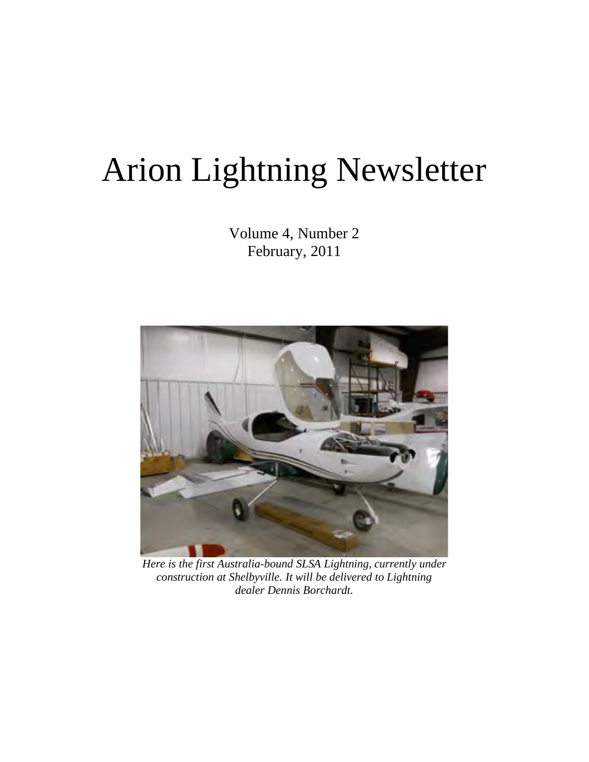# Arion Lightning Newsletter

Volume 4, Number 2 February, 2011



*Here is the first Australia-bound SLSA Lightning, currently under construction at Shelbyville. It will be delivered to Lightning dealer Dennis Borchardt.*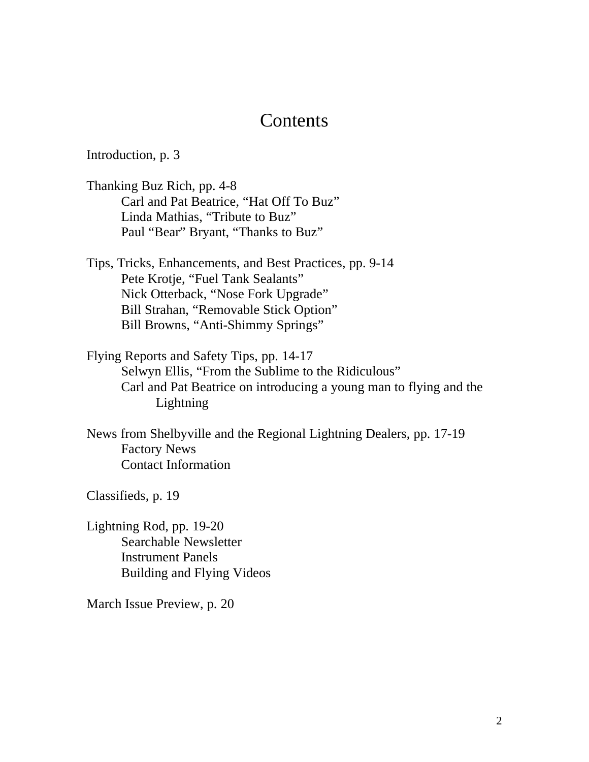### **Contents**

Introduction, p. 3

Thanking Buz Rich, pp. 4-8 Carl and Pat Beatrice, "Hat Off To Buz" Linda Mathias, "Tribute to Buz" Paul "Bear" Bryant, "Thanks to Buz"

Tips, Tricks, Enhancements, and Best Practices, pp. 9-14 Pete Krotje, "Fuel Tank Sealants" Nick Otterback, "Nose Fork Upgrade" Bill Strahan, "Removable Stick Option" Bill Browns, "Anti-Shimmy Springs"

Flying Reports and Safety Tips, pp. 14-17 Selwyn Ellis, "From the Sublime to the Ridiculous" Carl and Pat Beatrice on introducing a young man to flying and the Lightning

News from Shelbyville and the Regional Lightning Dealers, pp. 17-19 Factory News Contact Information

Classifieds, p. 19

Lightning Rod, pp. 19-20 Searchable Newsletter Instrument Panels Building and Flying Videos

March Issue Preview, p. 20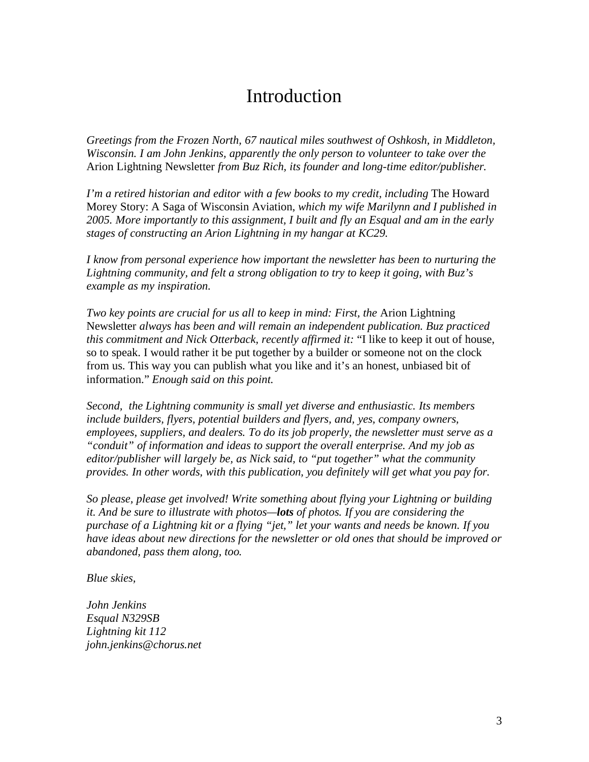# Introduction

*Greetings from the Frozen North, 67 nautical miles southwest of Oshkosh, in Middleton, Wisconsin. I am John Jenkins, apparently the only person to volunteer to take over the*  Arion Lightning Newsletter *from Buz Rich, its founder and long-time editor/publisher.* 

*I'm a retired historian and editor with a few books to my credit, including* The Howard Morey Story: A Saga of Wisconsin Aviation, *which my wife Marilynn and I published in 2005. More importantly to this assignment, I built and fly an Esqual and am in the early stages of constructing an Arion Lightning in my hangar at KC29.* 

*I know from personal experience how important the newsletter has been to nurturing the Lightning community, and felt a strong obligation to try to keep it going, with Buz's example as my inspiration.* 

*Two key points are crucial for us all to keep in mind: First, the Arion Lightning* Newsletter *always has been and will remain an independent publication. Buz practiced this commitment and Nick Otterback, recently affirmed it:* "I like to keep it out of house, so to speak. I would rather it be put together by a builder or someone not on the clock from us. This way you can publish what you like and it's an honest, unbiased bit of information." *Enough said on this point.*

*Second, the Lightning community is small yet diverse and enthusiastic. Its members include builders, flyers, potential builders and flyers, and, yes, company owners, employees, suppliers, and dealers. To do its job properly, the newsletter must serve as a "conduit" of information and ideas to support the overall enterprise. And my job as editor/publisher will largely be, as Nick said, to "put together" what the community provides. In other words, with this publication, you definitely will get what you pay for.* 

*So please, please get involved! Write something about flying your Lightning or building it. And be sure to illustrate with photos—lots of photos. If you are considering the purchase of a Lightning kit or a flying "jet," let your wants and needs be known. If you have ideas about new directions for the newsletter or old ones that should be improved or abandoned, pass them along, too.* 

*Blue skies,*

*John Jenkins Esqual N329SB Lightning kit 112 john.jenkins@chorus.net*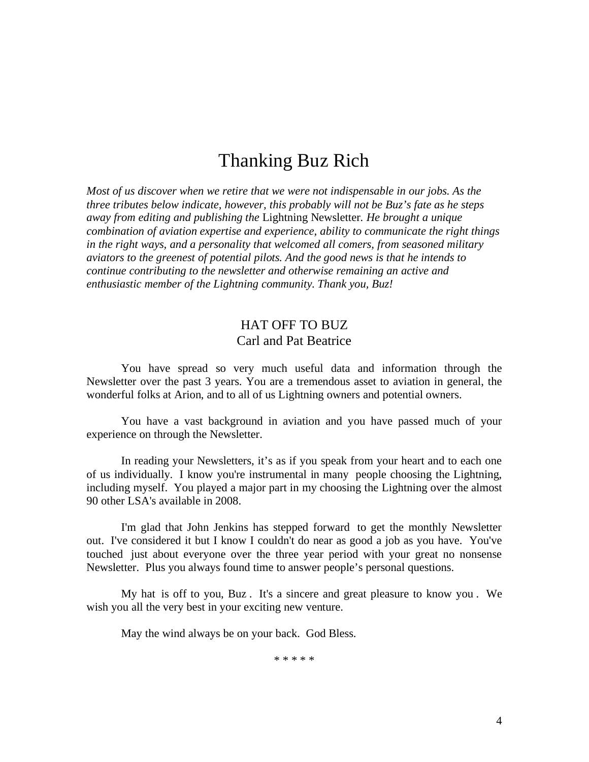# Thanking Buz Rich

*Most of us discover when we retire that we were not indispensable in our jobs. As the three tributes below indicate, however, this probably will not be Buz's fate as he steps away from editing and publishing the* Lightning Newsletter*. He brought a unique combination of aviation expertise and experience, ability to communicate the right things in the right ways, and a personality that welcomed all comers, from seasoned military aviators to the greenest of potential pilots. And the good news is that he intends to continue contributing to the newsletter and otherwise remaining an active and enthusiastic member of the Lightning community. Thank you, Buz!*

#### HAT OFF TO BUZ Carl and Pat Beatrice

You have spread so very much useful data and information through the Newsletter over the past 3 years. You are a tremendous asset to aviation in general, the wonderful folks at Arion, and to all of us Lightning owners and potential owners.

You have a vast background in aviation and you have passed much of your experience on through the Newsletter.

In reading your Newsletters, it's as if you speak from your heart and to each one of us individually. I know you're instrumental in many people choosing the Lightning, including myself. You played a major part in my choosing the Lightning over the almost 90 other LSA's available in 2008.

I'm glad that John Jenkins has stepped forward to get the monthly Newsletter out. I've considered it but I know I couldn't do near as good a job as you have. You've touched just about everyone over the three year period with your great no nonsense Newsletter. Plus you always found time to answer people's personal questions.

My hat is off to you, Buz . It's a sincere and great pleasure to know you . We wish you all the very best in your exciting new venture.

May the wind always be on your back. God Bless.

\* \* \* \* \*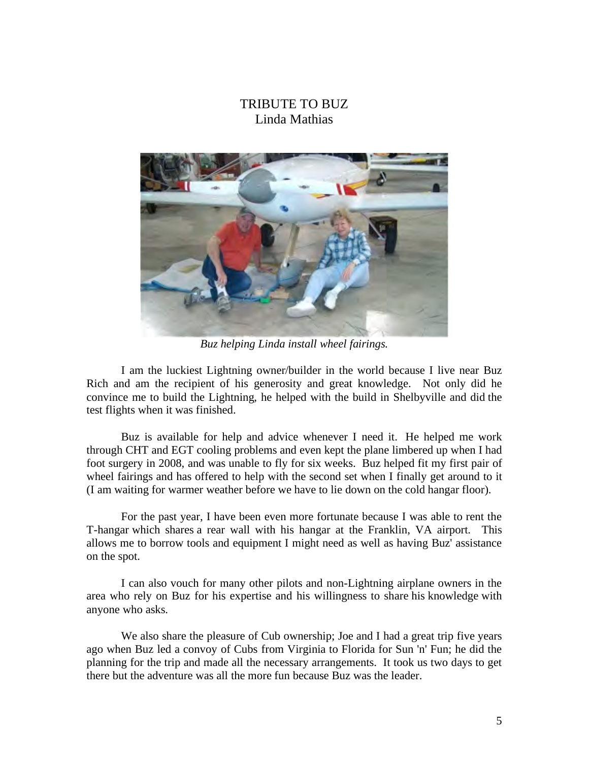#### TRIBUTE TO BUZ Linda Mathias



*Buz helping Linda install wheel fairings.*

I am the luckiest Lightning owner/builder in the world because I live near Buz Rich and am the recipient of his generosity and great knowledge. Not only did he convince me to build the Lightning, he helped with the build in Shelbyville and did the test flights when it was finished.

Buz is available for help and advice whenever I need it. He helped me work through CHT and EGT cooling problems and even kept the plane limbered up when I had foot surgery in 2008, and was unable to fly for six weeks. Buz helped fit my first pair of wheel fairings and has offered to help with the second set when I finally get around to it (I am waiting for warmer weather before we have to lie down on the cold hangar floor).

For the past year, I have been even more fortunate because I was able to rent the T-hangar which shares a rear wall with his hangar at the Franklin, VA airport. This allows me to borrow tools and equipment I might need as well as having Buz' assistance on the spot.

I can also vouch for many other pilots and non-Lightning airplane owners in the area who rely on Buz for his expertise and his willingness to share his knowledge with anyone who asks.

We also share the pleasure of Cub ownership; Joe and I had a great trip five years ago when Buz led a convoy of Cubs from Virginia to Florida for Sun 'n' Fun; he did the planning for the trip and made all the necessary arrangements. It took us two days to get there but the adventure was all the more fun because Buz was the leader.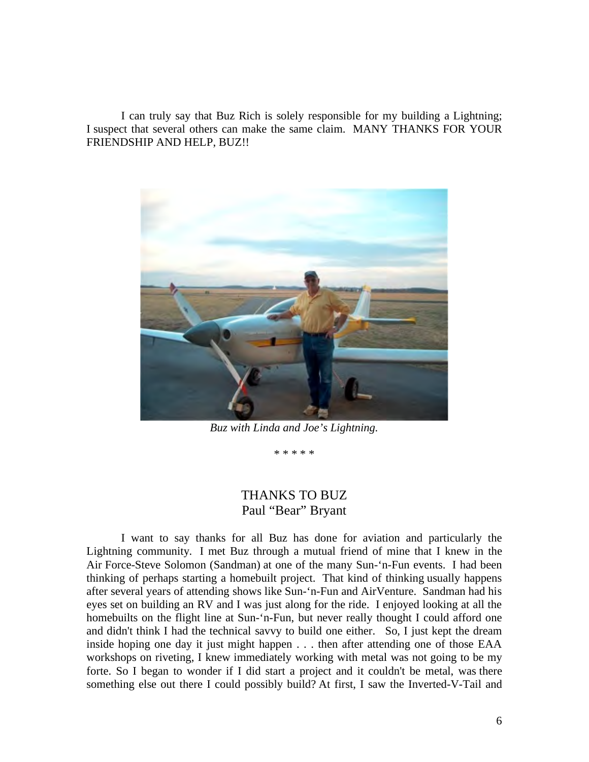I can truly say that Buz Rich is solely responsible for my building a Lightning; I suspect that several others can make the same claim. MANY THANKS FOR YOUR FRIENDSHIP AND HELP, BUZ!!



*Buz with Linda and Joe's Lightning.*

\* \* \* \* \*

#### THANKS TO BUZ Paul "Bear" Bryant

I want to say thanks for all Buz has done for aviation and particularly the Lightning community. I met Buz through a mutual friend of mine that I knew in the Air Force-Steve Solomon (Sandman) at one of the many Sun-'n-Fun events. I had been thinking of perhaps starting a homebuilt project. That kind of thinking usually happens after several years of attending shows like Sun-'n-Fun and AirVenture. Sandman had his eyes set on building an RV and I was just along for the ride. I enjoyed looking at all the homebuilts on the flight line at Sun-'n-Fun, but never really thought I could afford one and didn't think I had the technical savvy to build one either. So, I just kept the dream inside hoping one day it just might happen . . . then after attending one of those EAA workshops on riveting, I knew immediately working with metal was not going to be my forte. So I began to wonder if I did start a project and it couldn't be metal, was there something else out there I could possibly build? At first, I saw the Inverted-V-Tail and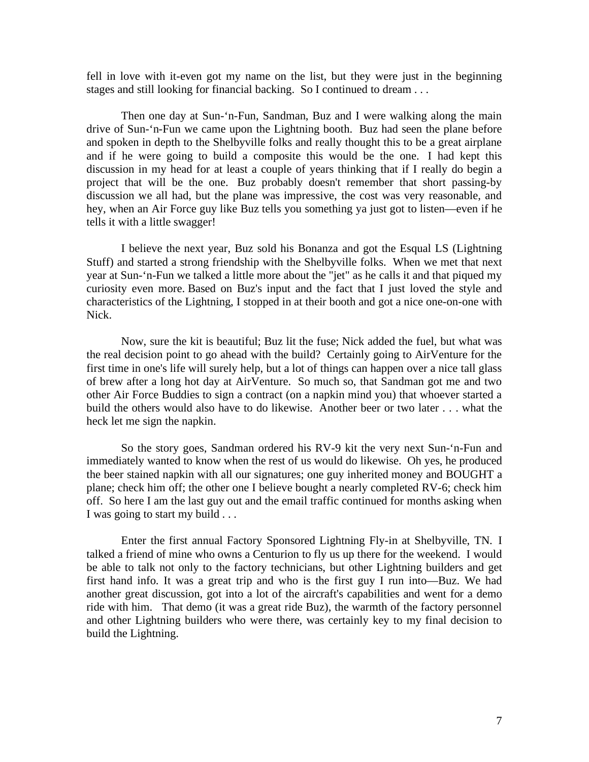fell in love with it-even got my name on the list, but they were just in the beginning stages and still looking for financial backing. So I continued to dream . . .

Then one day at Sun-'n-Fun, Sandman, Buz and I were walking along the main drive of Sun-'n-Fun we came upon the Lightning booth. Buz had seen the plane before and spoken in depth to the Shelbyville folks and really thought this to be a great airplane and if he were going to build a composite this would be the one. I had kept this discussion in my head for at least a couple of years thinking that if I really do begin a project that will be the one. Buz probably doesn't remember that short passing-by discussion we all had, but the plane was impressive, the cost was very reasonable, and hey, when an Air Force guy like Buz tells you something ya just got to listen—even if he tells it with a little swagger!

I believe the next year, Buz sold his Bonanza and got the Esqual LS (Lightning Stuff) and started a strong friendship with the Shelbyville folks. When we met that next year at Sun-'n-Fun we talked a little more about the "jet" as he calls it and that piqued my curiosity even more. Based on Buz's input and the fact that I just loved the style and characteristics of the Lightning, I stopped in at their booth and got a nice one-on-one with Nick.

Now, sure the kit is beautiful; Buz lit the fuse; Nick added the fuel, but what was the real decision point to go ahead with the build? Certainly going to AirVenture for the first time in one's life will surely help, but a lot of things can happen over a nice tall glass of brew after a long hot day at AirVenture. So much so, that Sandman got me and two other Air Force Buddies to sign a contract (on a napkin mind you) that whoever started a build the others would also have to do likewise. Another beer or two later . . . what the heck let me sign the napkin.

So the story goes, Sandman ordered his RV-9 kit the very next Sun-'n-Fun and immediately wanted to know when the rest of us would do likewise. Oh yes, he produced the beer stained napkin with all our signatures; one guy inherited money and BOUGHT a plane; check him off; the other one I believe bought a nearly completed RV-6; check him off. So here I am the last guy out and the email traffic continued for months asking when I was going to start my build . . .

Enter the first annual Factory Sponsored Lightning Fly-in at Shelbyville, TN. I talked a friend of mine who owns a Centurion to fly us up there for the weekend. I would be able to talk not only to the factory technicians, but other Lightning builders and get first hand info. It was a great trip and who is the first guy I run into—Buz. We had another great discussion, got into a lot of the aircraft's capabilities and went for a demo ride with him. That demo (it was a great ride Buz), the warmth of the factory personnel and other Lightning builders who were there, was certainly key to my final decision to build the Lightning.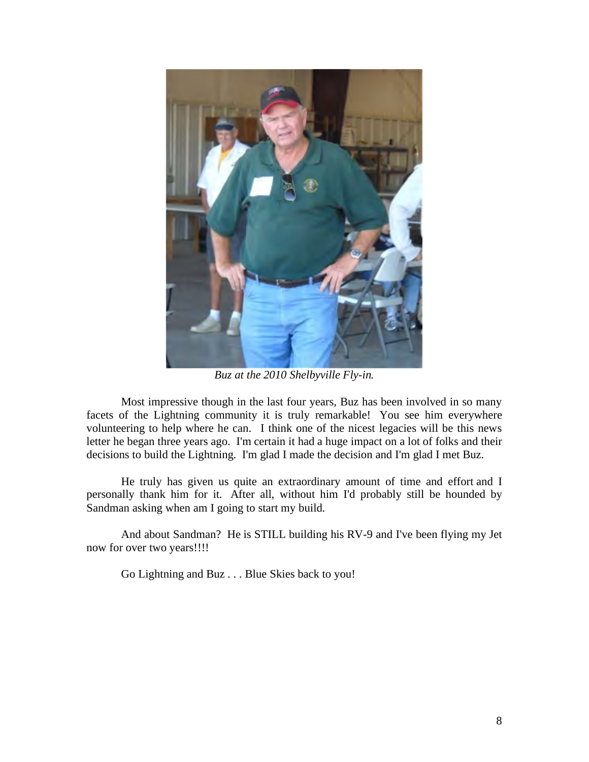

*Buz at the 2010 Shelbyville Fly-in.*

Most impressive though in the last four years, Buz has been involved in so many facets of the Lightning community it is truly remarkable! You see him everywhere volunteering to help where he can. I think one of the nicest legacies will be this news letter he began three years ago. I'm certain it had a huge impact on a lot of folks and their decisions to build the Lightning. I'm glad I made the decision and I'm glad I met Buz.

He truly has given us quite an extraordinary amount of time and effort and I personally thank him for it. After all, without him I'd probably still be hounded by Sandman asking when am I going to start my build.

And about Sandman? He is STILL building his RV-9 and I've been flying my Jet now for over two years!!!!

Go Lightning and Buz . . . Blue Skies back to you!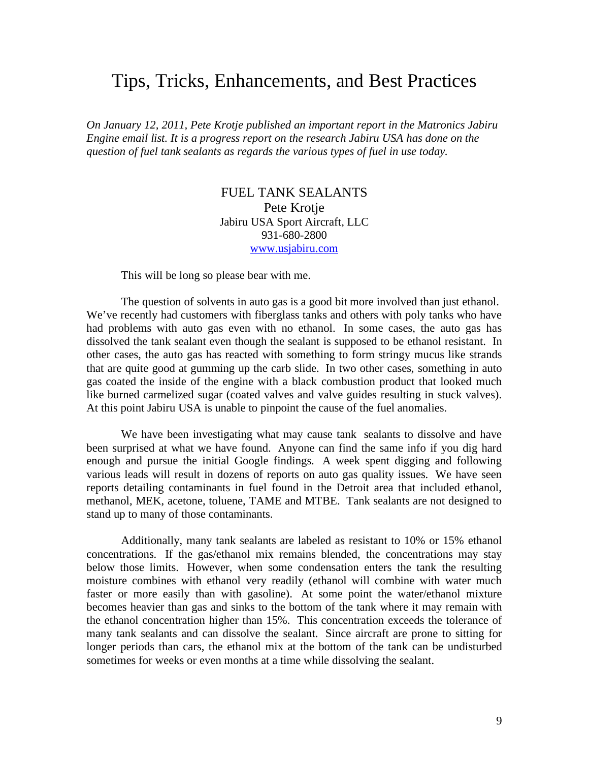## Tips, Tricks, Enhancements, and Best Practices

*On January 12, 2011, Pete Krotje published an important report in the Matronics Jabiru Engine email list. It is a progress report on the research Jabiru USA has done on the question of fuel tank sealants as regards the various types of fuel in use today.* 

#### FUEL TANK SEALANTS Pete Krotje Jabiru USA Sport Aircraft, LLC 931-680-2800 www.usjabiru.com

This will be long so please bear with me.

The question of solvents in auto gas is a good bit more involved than just ethanol. We've recently had customers with fiberglass tanks and others with poly tanks who have had problems with auto gas even with no ethanol. In some cases, the auto gas has dissolved the tank sealant even though the sealant is supposed to be ethanol resistant. In other cases, the auto gas has reacted with something to form stringy mucus like strands that are quite good at gumming up the carb slide. In two other cases, something in auto gas coated the inside of the engine with a black combustion product that looked much like burned carmelized sugar (coated valves and valve guides resulting in stuck valves). At this point Jabiru USA is unable to pinpoint the cause of the fuel anomalies.

We have been investigating what may cause tank sealants to dissolve and have been surprised at what we have found. Anyone can find the same info if you dig hard enough and pursue the initial Google findings. A week spent digging and following various leads will result in dozens of reports on auto gas quality issues. We have seen reports detailing contaminants in fuel found in the Detroit area that included ethanol, methanol, MEK, acetone, toluene, TAME and MTBE. Tank sealants are not designed to stand up to many of those contaminants.

Additionally, many tank sealants are labeled as resistant to 10% or 15% ethanol concentrations. If the gas/ethanol mix remains blended, the concentrations may stay below those limits. However, when some condensation enters the tank the resulting moisture combines with ethanol very readily (ethanol will combine with water much faster or more easily than with gasoline). At some point the water/ethanol mixture becomes heavier than gas and sinks to the bottom of the tank where it may remain with the ethanol concentration higher than 15%. This concentration exceeds the tolerance of many tank sealants and can dissolve the sealant. Since aircraft are prone to sitting for longer periods than cars, the ethanol mix at the bottom of the tank can be undisturbed sometimes for weeks or even months at a time while dissolving the sealant.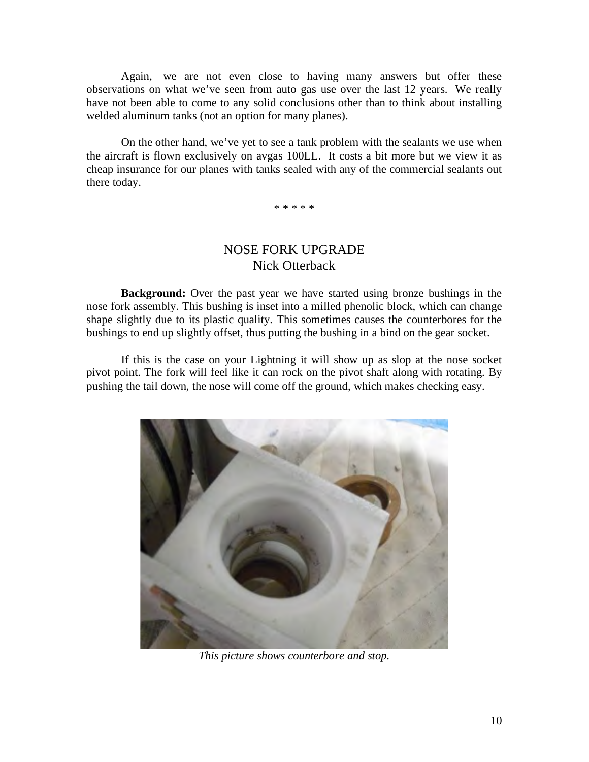Again, we are not even close to having many answers but offer these observations on what we've seen from auto gas use over the last 12 years. We really have not been able to come to any solid conclusions other than to think about installing welded aluminum tanks (not an option for many planes).

On the other hand, we've yet to see a tank problem with the sealants we use when the aircraft is flown exclusively on avgas 100LL. It costs a bit more but we view it as cheap insurance for our planes with tanks sealed with any of the commercial sealants out there today.

\* \* \* \* \*

#### NOSE FORK UPGRADE Nick Otterback

**Background:** Over the past year we have started using bronze bushings in the nose fork assembly. This bushing is inset into a milled phenolic block, which can change shape slightly due to its plastic quality. This sometimes causes the counterbores for the bushings to end up slightly offset, thus putting the bushing in a bind on the gear socket.

If this is the case on your Lightning it will show up as slop at the nose socket pivot point. The fork will feel like it can rock on the pivot shaft along with rotating. By pushing the tail down, the nose will come off the ground, which makes checking easy.



*This picture shows counterbore and stop.*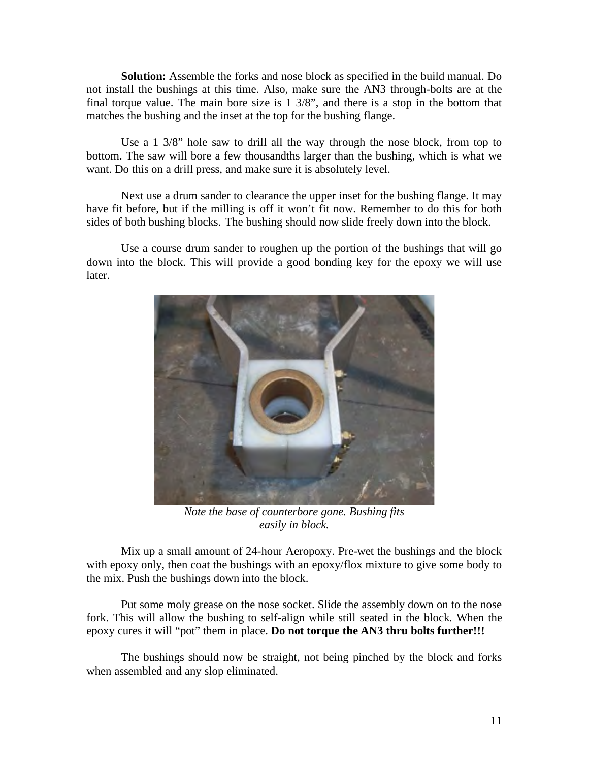**Solution:** Assemble the forks and nose block as specified in the build manual. Do not install the bushings at this time. Also, make sure the AN3 through-bolts are at the final torque value. The main bore size is 1 3/8", and there is a stop in the bottom that matches the bushing and the inset at the top for the bushing flange.

Use a 1 3/8" hole saw to drill all the way through the nose block, from top to bottom. The saw will bore a few thousandths larger than the bushing, which is what we want. Do this on a drill press, and make sure it is absolutely level.

Next use a drum sander to clearance the upper inset for the bushing flange. It may have fit before, but if the milling is off it won't fit now. Remember to do this for both sides of both bushing blocks. The bushing should now slide freely down into the block.

Use a course drum sander to roughen up the portion of the bushings that will go down into the block. This will provide a good bonding key for the epoxy we will use later.



*Note the base of counterbore gone. Bushing fits easily in block.*

Mix up a small amount of 24-hour Aeropoxy. Pre-wet the bushings and the block with epoxy only, then coat the bushings with an epoxy/flox mixture to give some body to the mix. Push the bushings down into the block.

Put some moly grease on the nose socket. Slide the assembly down on to the nose fork. This will allow the bushing to self-align while still seated in the block. When the epoxy cures it will "pot" them in place. **Do not torque the AN3 thru bolts further!!!**

The bushings should now be straight, not being pinched by the block and forks when assembled and any slop eliminated.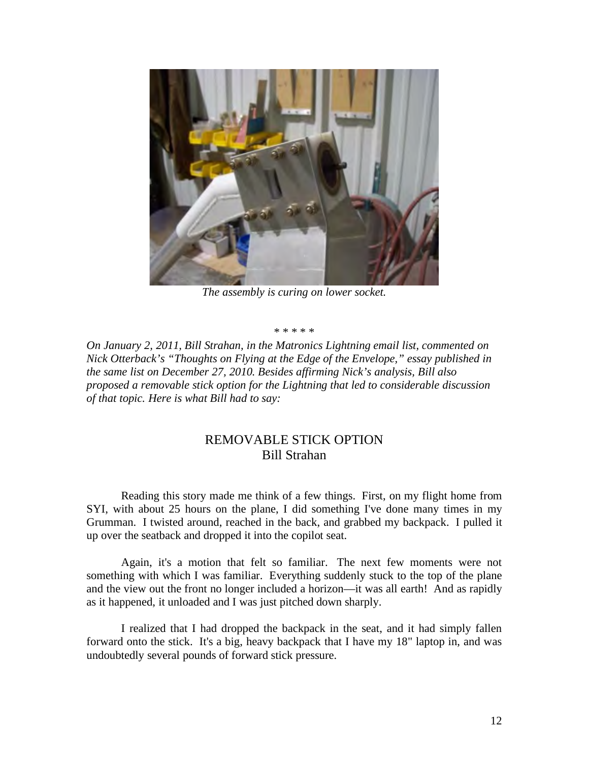

*The assembly is curing on lower socket.*

\* \* \* \* \*

*On January 2, 2011, Bill Strahan, in the Matronics Lightning email list, commented on Nick Otterback's "Thoughts on Flying at the Edge of the Envelope," essay published in the same list on December 27, 2010. Besides affirming Nick's analysis, Bill also proposed a removable stick option for the Lightning that led to considerable discussion of that topic. Here is what Bill had to say:*

#### REMOVABLE STICK OPTION Bill Strahan

Reading this story made me think of a few things. First, on my flight home from SYI, with about 25 hours on the plane, I did something I've done many times in my Grumman. I twisted around, reached in the back, and grabbed my backpack. I pulled it up over the seatback and dropped it into the copilot seat.

Again, it's a motion that felt so familiar. The next few moments were not something with which I was familiar. Everything suddenly stuck to the top of the plane and the view out the front no longer included a horizon—it was all earth! And as rapidly as it happened, it unloaded and I was just pitched down sharply.

I realized that I had dropped the backpack in the seat, and it had simply fallen forward onto the stick. It's a big, heavy backpack that I have my 18" laptop in, and was undoubtedly several pounds of forward stick pressure.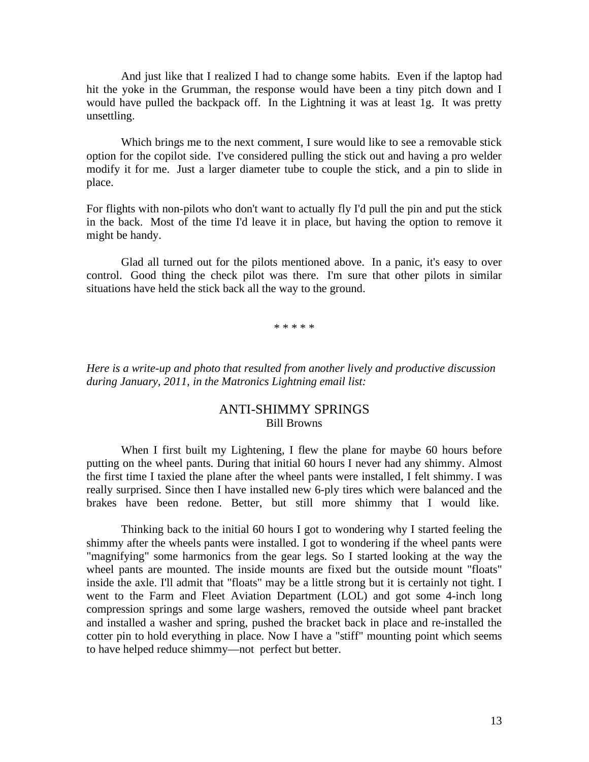And just like that I realized I had to change some habits. Even if the laptop had hit the yoke in the Grumman, the response would have been a tiny pitch down and I would have pulled the backpack off. In the Lightning it was at least 1g. It was pretty unsettling.

Which brings me to the next comment, I sure would like to see a removable stick option for the copilot side. I've considered pulling the stick out and having a pro welder modify it for me. Just a larger diameter tube to couple the stick, and a pin to slide in place.

For flights with non-pilots who don't want to actually fly I'd pull the pin and put the stick in the back. Most of the time I'd leave it in place, but having the option to remove it might be handy.

Glad all turned out for the pilots mentioned above. In a panic, it's easy to over control. Good thing the check pilot was there. I'm sure that other pilots in similar situations have held the stick back all the way to the ground.

\* \* \* \* \*

*Here is a write-up and photo that resulted from another lively and productive discussion during January, 2011, in the Matronics Lightning email list:* 

#### ANTI-SHIMMY SPRINGS Bill Browns

When I first built my Lightening, I flew the plane for maybe 60 hours before putting on the wheel pants. During that initial 60 hours I never had any shimmy. Almost the first time I taxied the plane after the wheel pants were installed, I felt shimmy. I was really surprised. Since then I have installed new 6-ply tires which were balanced and the brakes have been redone. Better, but still more shimmy that I would like.

Thinking back to the initial 60 hours I got to wondering why I started feeling the shimmy after the wheels pants were installed. I got to wondering if the wheel pants were "magnifying" some harmonics from the gear legs. So I started looking at the way the wheel pants are mounted. The inside mounts are fixed but the outside mount "floats" inside the axle. I'll admit that "floats" may be a little strong but it is certainly not tight. I went to the Farm and Fleet Aviation Department (LOL) and got some 4-inch long compression springs and some large washers, removed the outside wheel pant bracket and installed a washer and spring, pushed the bracket back in place and re-installed the cotter pin to hold everything in place. Now I have a "stiff" mounting point which seems to have helped reduce shimmy—not perfect but better.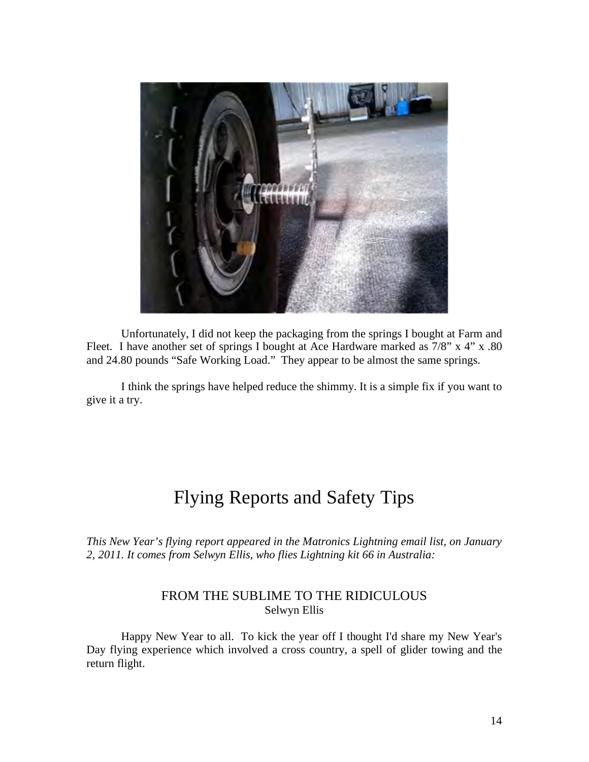

Unfortunately, I did not keep the packaging from the springs I bought at Farm and Fleet. I have another set of springs I bought at Ace Hardware marked as 7/8" x 4" x .80 and 24.80 pounds "Safe Working Load." They appear to be almost the same springs.

I think the springs have helped reduce the shimmy. It is a simple fix if you want to give it a try.

# Flying Reports and Safety Tips

*This New Year's flying report appeared in the Matronics Lightning email list, on January 2, 2011. It comes from Selwyn Ellis, who flies Lightning kit 66 in Australia:*

#### FROM THE SUBLIME TO THE RIDICULOUS Selwyn Ellis

Happy New Year to all. To kick the year off I thought I'd share my New Year's Day flying experience which involved a cross country, a spell of glider towing and the return flight.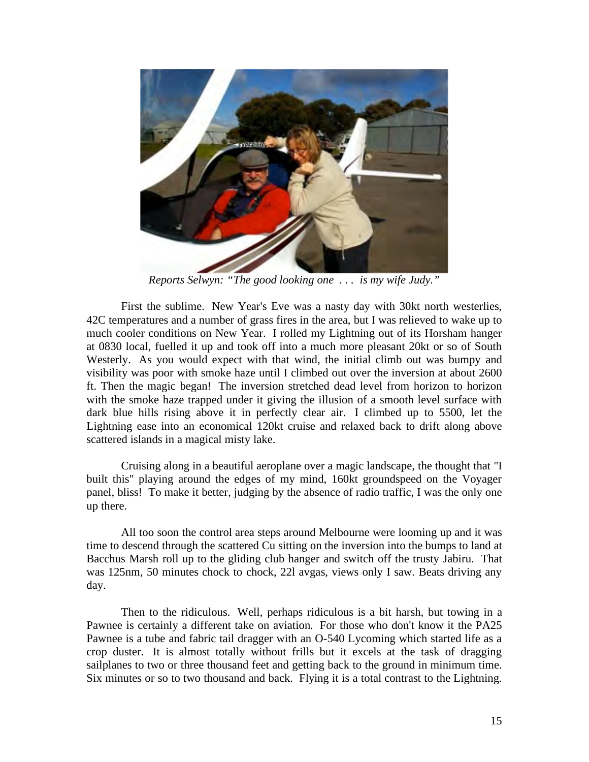

*Reports Selwyn: "The good looking one . . . is my wife Judy."*

First the sublime. New Year's Eve was a nasty day with 30kt north westerlies, 42C temperatures and a number of grass fires in the area, but I was relieved to wake up to much cooler conditions on New Year. I rolled my Lightning out of its Horsham hanger at 0830 local, fuelled it up and took off into a much more pleasant 20kt or so of South Westerly. As you would expect with that wind, the initial climb out was bumpy and visibility was poor with smoke haze until I climbed out over the inversion at about 2600 ft. Then the magic began! The inversion stretched dead level from horizon to horizon with the smoke haze trapped under it giving the illusion of a smooth level surface with dark blue hills rising above it in perfectly clear air. I climbed up to 5500, let the Lightning ease into an economical 120kt cruise and relaxed back to drift along above scattered islands in a magical misty lake.

Cruising along in a beautiful aeroplane over a magic landscape, the thought that "I built this" playing around the edges of my mind, 160kt groundspeed on the Voyager panel, bliss! To make it better, judging by the absence of radio traffic, I was the only one up there.

All too soon the control area steps around Melbourne were looming up and it was time to descend through the scattered Cu sitting on the inversion into the bumps to land at Bacchus Marsh roll up to the gliding club hanger and switch off the trusty Jabiru. That was 125nm, 50 minutes chock to chock, 22l avgas, views only I saw. Beats driving any day.

Then to the ridiculous. Well, perhaps ridiculous is a bit harsh, but towing in a Pawnee is certainly a different take on aviation. For those who don't know it the PA25 Pawnee is a tube and fabric tail dragger with an O-540 Lycoming which started life as a crop duster. It is almost totally without frills but it excels at the task of dragging sailplanes to two or three thousand feet and getting back to the ground in minimum time. Six minutes or so to two thousand and back. Flying it is a total contrast to the Lightning.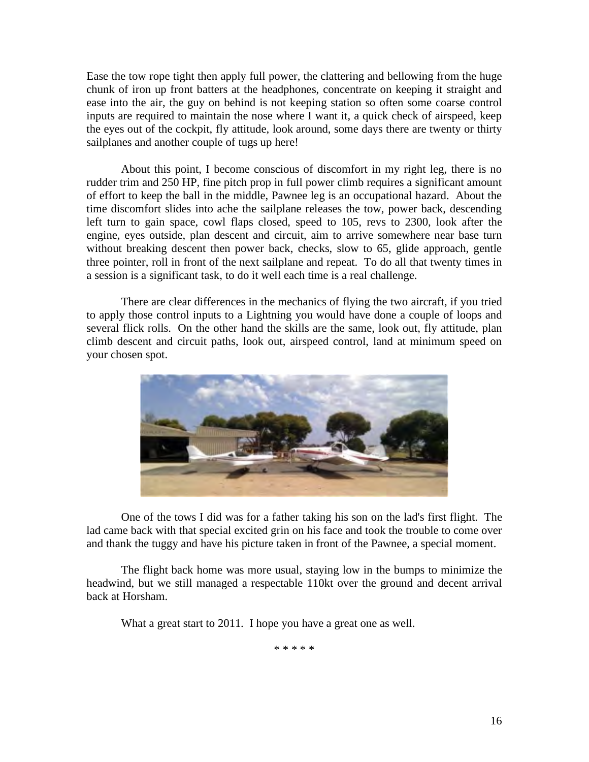Ease the tow rope tight then apply full power, the clattering and bellowing from the huge chunk of iron up front batters at the headphones, concentrate on keeping it straight and ease into the air, the guy on behind is not keeping station so often some coarse control inputs are required to maintain the nose where I want it, a quick check of airspeed, keep the eyes out of the cockpit, fly attitude, look around, some days there are twenty or thirty sailplanes and another couple of tugs up here!

About this point, I become conscious of discomfort in my right leg, there is no rudder trim and 250 HP, fine pitch prop in full power climb requires a significant amount of effort to keep the ball in the middle, Pawnee leg is an occupational hazard. About the time discomfort slides into ache the sailplane releases the tow, power back, descending left turn to gain space, cowl flaps closed, speed to 105, revs to 2300, look after the engine, eyes outside, plan descent and circuit, aim to arrive somewhere near base turn without breaking descent then power back, checks, slow to 65, glide approach, gentle three pointer, roll in front of the next sailplane and repeat. To do all that twenty times in a session is a significant task, to do it well each time is a real challenge.

There are clear differences in the mechanics of flying the two aircraft, if you tried to apply those control inputs to a Lightning you would have done a couple of loops and several flick rolls. On the other hand the skills are the same, look out, fly attitude, plan climb descent and circuit paths, look out, airspeed control, land at minimum speed on your chosen spot.



One of the tows I did was for a father taking his son on the lad's first flight. The lad came back with that special excited grin on his face and took the trouble to come over and thank the tuggy and have his picture taken in front of the Pawnee, a special moment.

The flight back home was more usual, staying low in the bumps to minimize the headwind, but we still managed a respectable 110kt over the ground and decent arrival back at Horsham.

What a great start to 2011. I hope you have a great one as well.

\* \* \* \* \*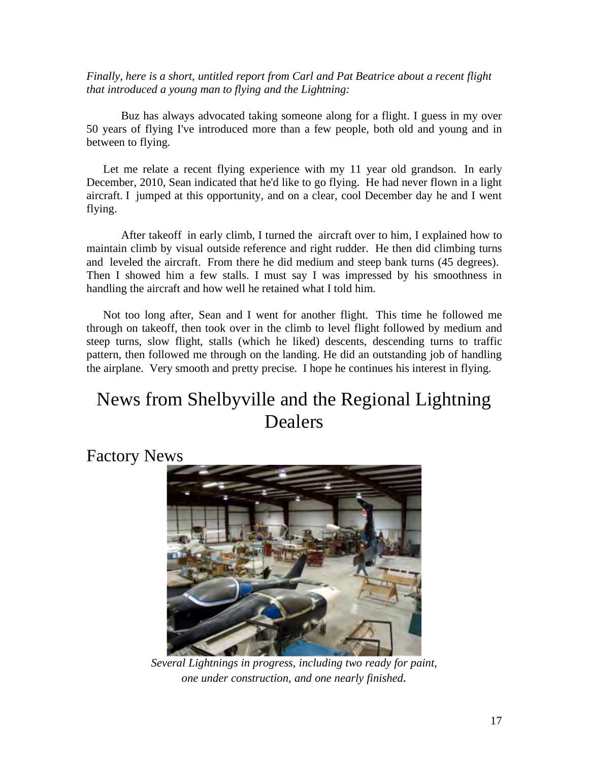*Finally, here is a short, untitled report from Carl and Pat Beatrice about a recent flight that introduced a young man to flying and the Lightning:*

Buz has always advocated taking someone along for a flight. I guess in my over 50 years of flying I've introduced more than a few people, both old and young and in between to flying.

 Let me relate a recent flying experience with my 11 year old grandson. In early December, 2010, Sean indicated that he'd like to go flying. He had never flown in a light aircraft. I jumped at this opportunity, and on a clear, cool December day he and I went flying.

After takeoff in early climb, I turned the aircraft over to him, I explained how to maintain climb by visual outside reference and right rudder. He then did climbing turns and leveled the aircraft. From there he did medium and steep bank turns (45 degrees). Then I showed him a few stalls. I must say I was impressed by his smoothness in handling the aircraft and how well he retained what I told him.

 Not too long after, Sean and I went for another flight. This time he followed me through on takeoff, then took over in the climb to level flight followed by medium and steep turns, slow flight, stalls (which he liked) descents, descending turns to traffic pattern, then followed me through on the landing. He did an outstanding job of handling the airplane. Very smooth and pretty precise. I hope he continues his interest in flying.

# News from Shelbyville and the Regional Lightning Dealers

Factory News



*Several Lightnings in progress, including two ready for paint, one under construction, and one nearly finished.*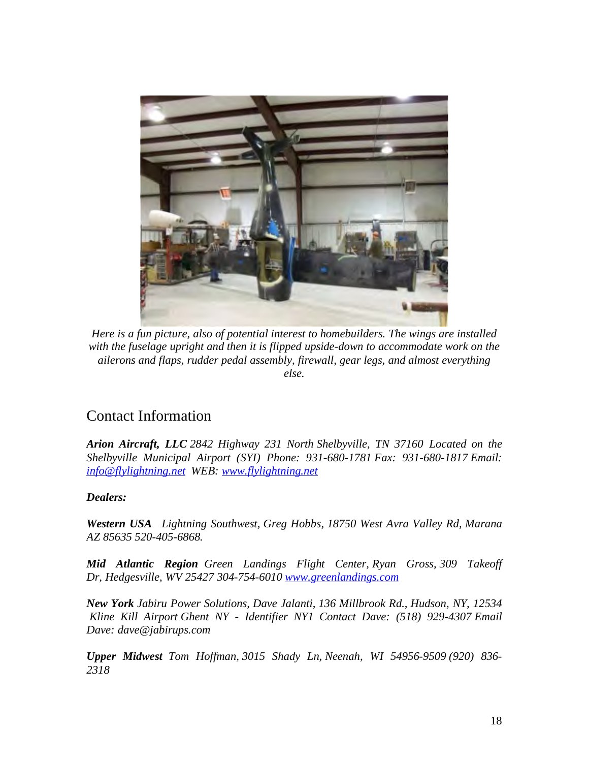

*Here is a fun picture, also of potential interest to homebuilders. The wings are installed with the fuselage upright and then it is flipped upside-down to accommodate work on the ailerons and flaps, rudder pedal assembly, firewall, gear legs, and almost everything else.*

#### Contact Information

*Arion Aircraft, LLC 2842 Highway 231 North Shelbyville, TN 37160 Located on the Shelbyville Municipal Airport (SYI) Phone: 931-680-1781 Fax: 931-680-1817 Email: info@flylightning.net WEB: www.flylightning.net* 

#### *Dealers:*

*Western USA Lightning Southwest, Greg Hobbs, 18750 West Avra Valley Rd, Marana AZ 85635 520-405-6868.* 

*Mid Atlantic Region Green Landings Flight Center, Ryan Gross, 309 Takeoff Dr, Hedgesville, WV 25427 304-754-6010 www.greenlandings.com* 

*New York Jabiru Power Solutions, Dave Jalanti, 136 Millbrook Rd., Hudson, NY, 12534 Kline Kill Airport Ghent NY - Identifier NY1 Contact Dave: (518) 929-4307 Email Dave: dave@jabirups.com* 

*Upper Midwest Tom Hoffman, 3015 Shady Ln, Neenah, WI 54956-9509 (920) 836- 2318*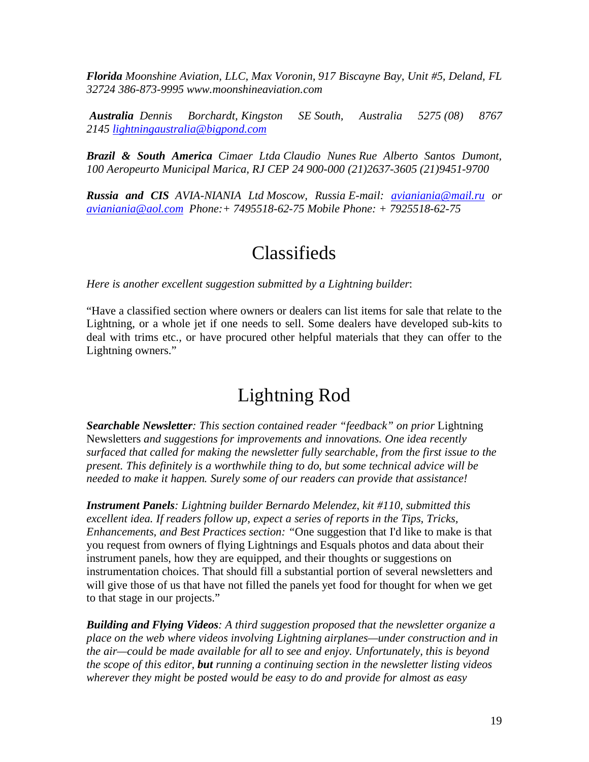*Florida Moonshine Aviation, LLC, Max Voronin, 917 Biscayne Bay, Unit #5, Deland, FL 32724 386-873-9995 www.moonshineaviation.com* 

*Australia Dennis Borchardt, Kingston SE South, Australia 5275 (08) 8767 2145 lightningaustralia@bigpond.com* 

*Brazil & South America Cimaer Ltda Claudio Nunes Rue Alberto Santos Dumont, 100 Aeropeurto Municipal Marica, RJ CEP 24 900-000 (21)2637-3605 (21)9451-9700* 

*Russia and CIS AVIA-NIANIA Ltd Moscow, Russia E-mail: avianiania@mail.ru or avianiania@aol.com Phone:+ 7495518-62-75 Mobile Phone: + 7925518-62-75* 

## Classifieds

*Here is another excellent suggestion submitted by a Lightning builder*:

"Have a classified section where owners or dealers can list items for sale that relate to the Lightning, or a whole jet if one needs to sell. Some dealers have developed sub-kits to deal with trims etc., or have procured other helpful materials that they can offer to the Lightning owners."

# Lightning Rod

*Searchable Newsletter: This section contained reader "feedback" on prior* Lightning Newsletters *and suggestions for improvements and innovations. One idea recently surfaced that called for making the newsletter fully searchable, from the first issue to the present. This definitely is a worthwhile thing to do, but some technical advice will be needed to make it happen. Surely some of our readers can provide that assistance!*

*Instrument Panels: Lightning builder Bernardo Melendez, kit #110, submitted this excellent idea. If readers follow up, expect a series of reports in the Tips, Tricks, Enhancements, and Best Practices section: "*One suggestion that I'd like to make is that you request from owners of flying Lightnings and Esquals photos and data about their instrument panels, how they are equipped, and their thoughts or suggestions on instrumentation choices. That should fill a substantial portion of several newsletters and will give those of us that have not filled the panels yet food for thought for when we get to that stage in our projects."

*Building and Flying Videos: A third suggestion proposed that the newsletter organize a place on the web where videos involving Lightning airplanes—under construction and in the air—could be made available for all to see and enjoy. Unfortunately, this is beyond the scope of this editor, but running a continuing section in the newsletter listing videos wherever they might be posted would be easy to do and provide for almost as easy*